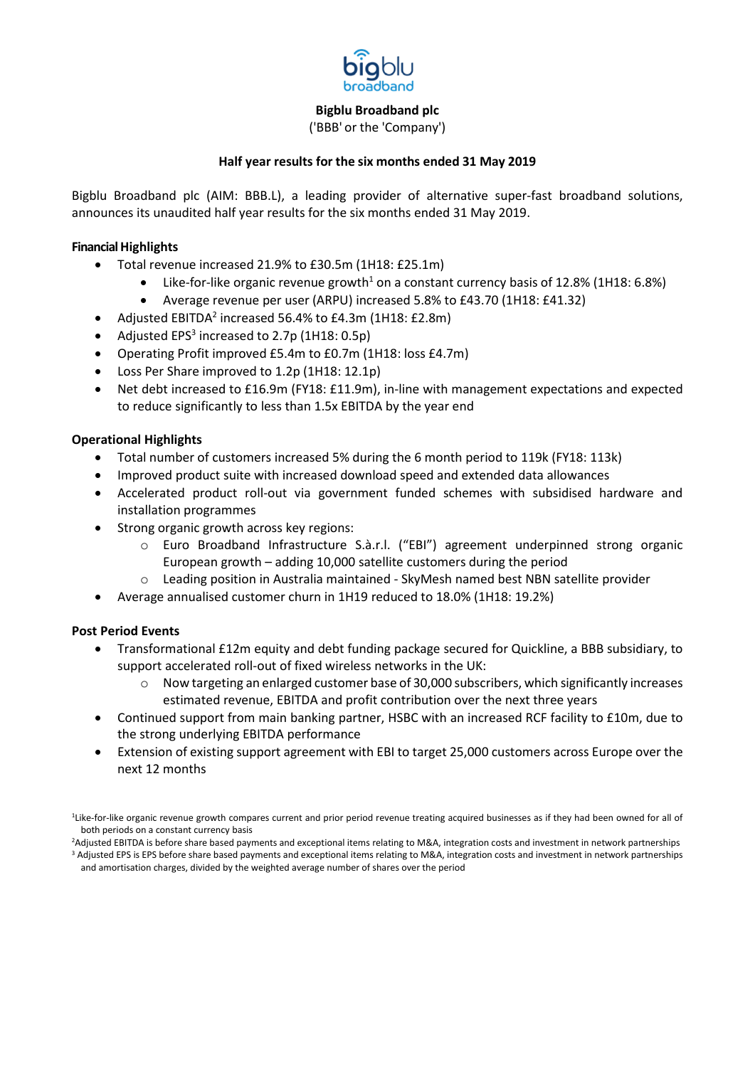

('BBB' or the 'Company')

## **Half year results for the six months ended 31 May 2019**

Bigblu Broadband plc (AIM: BBB.L), a leading provider of alternative super-fast broadband solutions, announces its unaudited half year results for the six months ended 31 May 2019.

## **Financial Highlights**

- Total revenue increased 21.9% to £30.5m (1H18: £25.1m)
	- Like-for-like organic revenue growth<sup>1</sup> on a constant currency basis of 12.8% (1H18: 6.8%)
	- Average revenue per user (ARPU) increased 5.8% to £43.70 (1H18: £41.32)
- Adjusted EBITDA<sup>2</sup> increased 56.4% to £4.3m (1H18: £2.8m)
- Adjusted EPS<sup>3</sup> increased to 2.7p (1H18: 0.5p)
- Operating Profit improved £5.4m to £0.7m (1H18: loss £4.7m)
- Loss Per Share improved to 1.2p (1H18: 12.1p)
- Net debt increased to £16.9m (FY18: £11.9m), in-line with management expectations and expected to reduce significantly to less than 1.5x EBITDA by the year end

# **Operational Highlights**

- Total number of customers increased 5% during the 6 month period to 119k (FY18: 113k)
- Improved product suite with increased download speed and extended data allowances
- Accelerated product roll-out via government funded schemes with subsidised hardware and installation programmes
- Strong organic growth across key regions:
	- o Euro Broadband Infrastructure S.à.r.l. ("EBI") agreement underpinned strong organic European growth – adding 10,000 satellite customers during the period
	- o Leading position in Australia maintained SkyMesh named best NBN satellite provider
- Average annualised customer churn in 1H19 reduced to 18.0% (1H18: 19.2%)

## **Post Period Events**

- Transformational £12m equity and debt funding package secured for Quickline, a BBB subsidiary, to support accelerated roll-out of fixed wireless networks in the UK:
	- $\circ$  Now targeting an enlarged customer base of 30,000 subscribers, which significantly increases estimated revenue, EBITDA and profit contribution over the next three years
- Continued support from main banking partner, HSBC with an increased RCF facility to £10m, due to the strong underlying EBITDA performance
- Extension of existing support agreement with EBI to target 25,000 customers across Europe over the next 12 months

and amortisation charges, divided by the weighted average number of shares over the period

<sup>&</sup>lt;sup>1</sup>Like-for-like organic revenue growth compares current and prior period revenue treating acquired businesses as if they had been owned for all of both periods on a constant currency basis

<sup>&</sup>lt;sup>2</sup>Adjusted EBITDA is before share based payments and exceptional items relating to M&A, integration costs and investment in network partnerships <sup>3</sup> Adjusted EPS is EPS before share based payments and exceptional items relating to M&A, integration costs and investment in network partnerships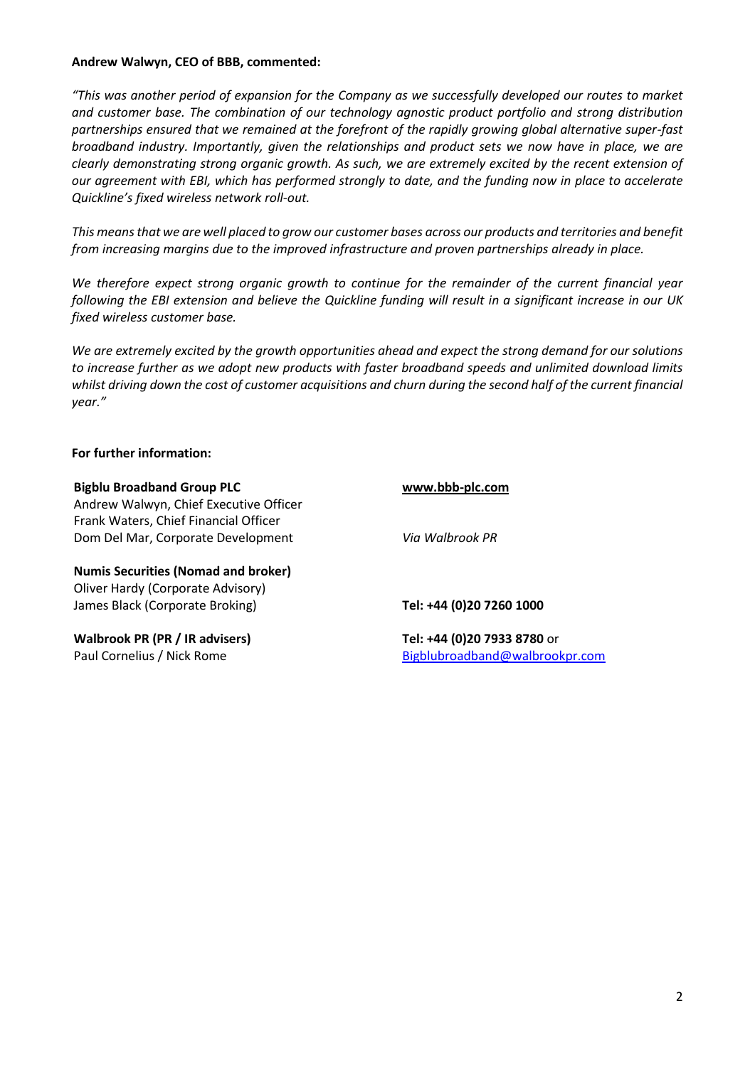## **Andrew Walwyn, CEO of BBB, commented:**

*"This was another period of expansion for the Company as we successfully developed our routes to market and customer base. The combination of our technology agnostic product portfolio and strong distribution partnerships ensured that we remained at the forefront of the rapidly growing global alternative super-fast broadband industry. Importantly, given the relationships and product sets we now have in place, we are clearly demonstrating strong organic growth. As such, we are extremely excited by the recent extension of our agreement with EBI, which has performed strongly to date, and the funding now in place to accelerate Quickline's fixed wireless network roll-out.*

*This means that we are well placed to grow our customer bases across our products and territories and benefit from increasing margins due to the improved infrastructure and proven partnerships already in place.* 

*We therefore expect strong organic growth to continue for the remainder of the current financial year following the EBI extension and believe the Quickline funding will result in a significant increase in our UK fixed wireless customer base.*

*We are extremely excited by the growth opportunities ahead and expect the strong demand for our solutions to increase further as we adopt new products with faster broadband speeds and unlimited download limits whilst driving down the cost of customer acquisitions and churn during the second half of the current financial year."*

#### **For further information:**

**Bigblu Broadband Group PLC [www.bbb-plc.com](http://www.bbb-plc.com/)** Andrew Walwyn, Chief Executive Officer Frank Waters, Chief Financial Officer Dom Del Mar, Corporate Development *Via Walbrook PR*

**Numis Securities (Nomad and broker)** Oliver Hardy (Corporate Advisory) James Black (Corporate Broking) **Tel: +44 (0)20 7260 1000**

**Walbrook PR (PR / IR advisers) Tel: +44 (0)20 7933 8780** or

Paul Cornelius / Nick Rome **[Bigblubroadband@walbrookpr.com](mailto:Bigblubroadband@walbrookpr.com)**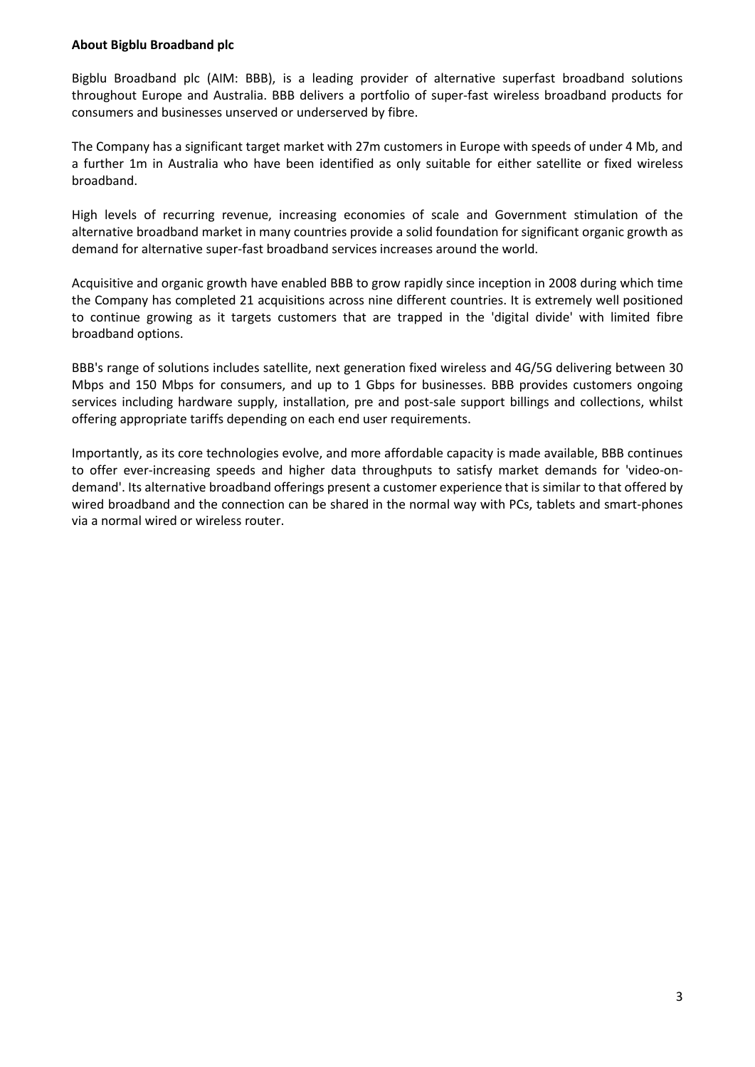## **About Bigblu Broadband plc**

Bigblu Broadband plc (AIM: BBB), is a leading provider of alternative superfast broadband solutions throughout Europe and Australia. BBB delivers a portfolio of super-fast wireless broadband products for consumers and businesses unserved or underserved by fibre.

The Company has a significant target market with 27m customers in Europe with speeds of under 4 Mb, and a further 1m in Australia who have been identified as only suitable for either satellite or fixed wireless broadband.

High levels of recurring revenue, increasing economies of scale and Government stimulation of the alternative broadband market in many countries provide a solid foundation for significant organic growth as demand for alternative super-fast broadband services increases around the world.

Acquisitive and organic growth have enabled BBB to grow rapidly since inception in 2008 during which time the Company has completed 21 acquisitions across nine different countries. It is extremely well positioned to continue growing as it targets customers that are trapped in the 'digital divide' with limited fibre broadband options.

BBB's range of solutions includes satellite, next generation fixed wireless and 4G/5G delivering between 30 Mbps and 150 Mbps for consumers, and up to 1 Gbps for businesses. BBB provides customers ongoing services including hardware supply, installation, pre and post-sale support billings and collections, whilst offering appropriate tariffs depending on each end user requirements.

Importantly, as its core technologies evolve, and more affordable capacity is made available, BBB continues to offer ever-increasing speeds and higher data throughputs to satisfy market demands for 'video-ondemand'. Its alternative broadband offerings present a customer experience that is similar to that offered by wired broadband and the connection can be shared in the normal way with PCs, tablets and smart-phones via a normal wired or wireless router.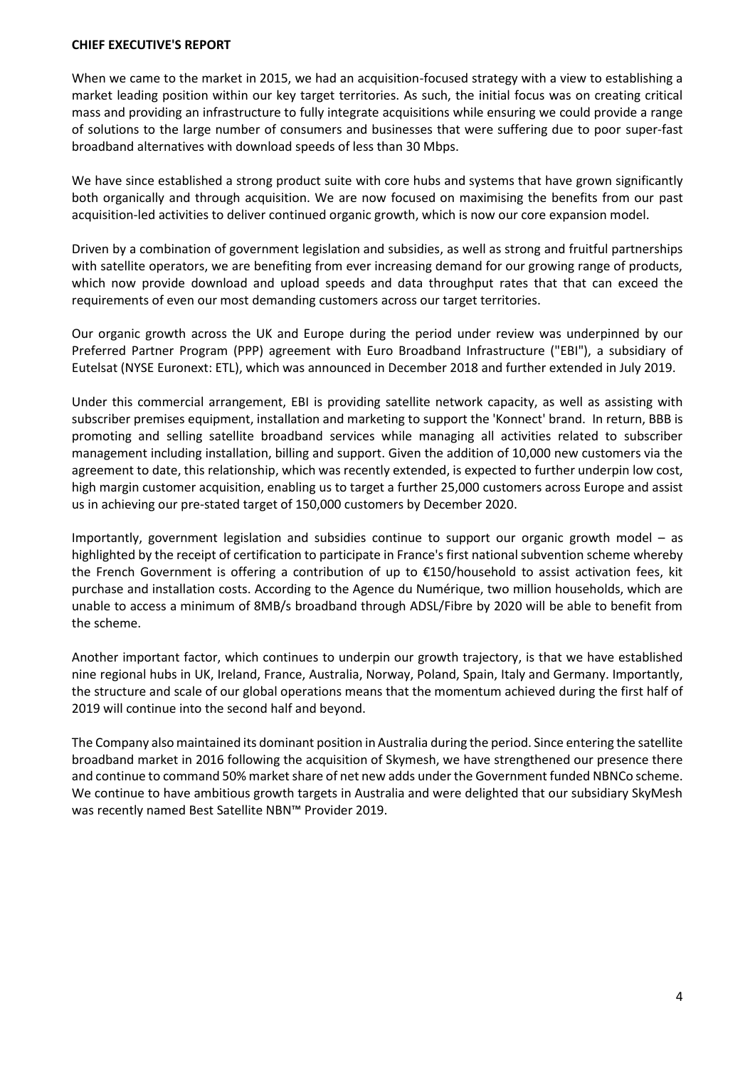#### **CHIEF EXECUTIVE'S REPORT**

When we came to the market in 2015, we had an acquisition-focused strategy with a view to establishing a market leading position within our key target territories. As such, the initial focus was on creating critical mass and providing an infrastructure to fully integrate acquisitions while ensuring we could provide a range of solutions to the large number of consumers and businesses that were suffering due to poor super-fast broadband alternatives with download speeds of less than 30 Mbps.

We have since established a strong product suite with core hubs and systems that have grown significantly both organically and through acquisition. We are now focused on maximising the benefits from our past acquisition-led activities to deliver continued organic growth, which is now our core expansion model.

Driven by a combination of government legislation and subsidies, as well as strong and fruitful partnerships with satellite operators, we are benefiting from ever increasing demand for our growing range of products, which now provide download and upload speeds and data throughput rates that that can exceed the requirements of even our most demanding customers across our target territories.

Our organic growth across the UK and Europe during the period under review was underpinned by our Preferred Partner Program (PPP) agreement with Euro Broadband Infrastructure ("EBI"), a subsidiary of Eutelsat (NYSE Euronext: ETL), which was announced in December 2018 and further extended in July 2019.

Under this commercial arrangement, EBI is providing satellite network capacity, as well as assisting with subscriber premises equipment, installation and marketing to support the 'Konnect' brand. In return, BBB is promoting and selling satellite broadband services while managing all activities related to subscriber management including installation, billing and support. Given the addition of 10,000 new customers via the agreement to date, this relationship, which was recently extended, is expected to further underpin low cost, high margin customer acquisition, enabling us to target a further 25,000 customers across Europe and assist us in achieving our pre-stated target of 150,000 customers by December 2020.

Importantly, government legislation and subsidies continue to support our organic growth model – as highlighted by the receipt of certification to participate in France's first national subvention scheme whereby the French Government is offering a contribution of up to €150/household to assist activation fees, kit purchase and installation costs. According to the Agence du Numérique, two million households, which are unable to access a minimum of 8MB/s broadband through ADSL/Fibre by 2020 will be able to benefit from the scheme.

Another important factor, which continues to underpin our growth trajectory, is that we have established nine regional hubs in UK, Ireland, France, Australia, Norway, Poland, Spain, Italy and Germany. Importantly, the structure and scale of our global operations means that the momentum achieved during the first half of 2019 will continue into the second half and beyond.

The Company also maintained its dominant position in Australia during the period. Since entering the satellite broadband market in 2016 following the acquisition of Skymesh, we have strengthened our presence there and continue to command 50% market share of net new adds under the Government funded NBNCo scheme. We continue to have ambitious growth targets in Australia and were delighted that our subsidiary SkyMesh was recently named Best Satellite NBN™ Provider 2019.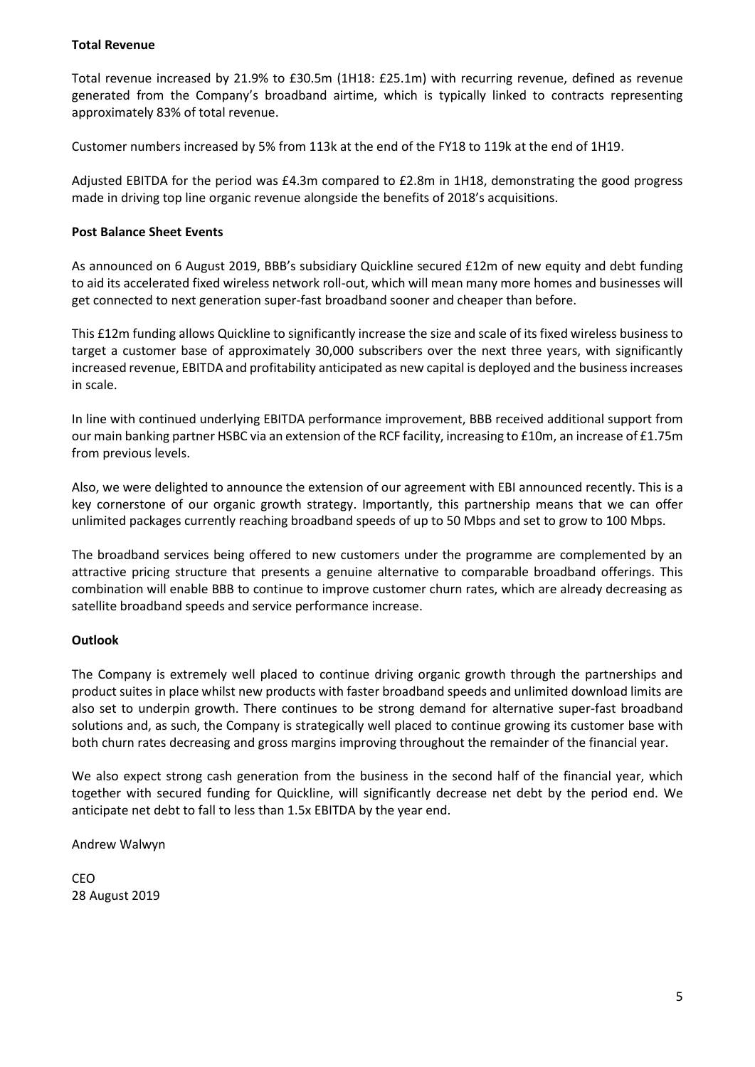# **Total Revenue**

Total revenue increased by 21.9% to £30.5m (1H18: £25.1m) with recurring revenue, defined as revenue generated from the Company's broadband airtime, which is typically linked to contracts representing approximately 83% of total revenue.

Customer numbers increased by 5% from 113k at the end of the FY18 to 119k at the end of 1H19.

Adjusted EBITDA for the period was £4.3m compared to £2.8m in 1H18, demonstrating the good progress made in driving top line organic revenue alongside the benefits of 2018's acquisitions.

# **Post Balance Sheet Events**

As announced on 6 August 2019, BBB's subsidiary Quickline secured £12m of new equity and debt funding to aid its accelerated fixed wireless network roll-out, which will mean many more homes and businesses will get connected to next generation super-fast broadband sooner and cheaper than before.

This £12m funding allows Quickline to significantly increase the size and scale of its fixed wireless business to target a customer base of approximately 30,000 subscribers over the next three years, with significantly increased revenue, EBITDA and profitability anticipated as new capital is deployed and the business increases in scale.

In line with continued underlying EBITDA performance improvement, BBB received additional support from our main banking partner HSBC via an extension of the RCF facility, increasing to £10m, an increase of £1.75m from previous levels.

Also, we were delighted to announce the extension of our agreement with EBI announced recently. This is a key cornerstone of our organic growth strategy. Importantly, this partnership means that we can offer unlimited packages currently reaching broadband speeds of up to 50 Mbps and set to grow to 100 Mbps.

The broadband services being offered to new customers under the programme are complemented by an attractive pricing structure that presents a genuine alternative to comparable broadband offerings. This combination will enable BBB to continue to improve customer churn rates, which are already decreasing as satellite broadband speeds and service performance increase.

# **Outlook**

The Company is extremely well placed to continue driving organic growth through the partnerships and product suites in place whilst new products with faster broadband speeds and unlimited download limits are also set to underpin growth. There continues to be strong demand for alternative super-fast broadband solutions and, as such, the Company is strategically well placed to continue growing its customer base with both churn rates decreasing and gross margins improving throughout the remainder of the financial year.

We also expect strong cash generation from the business in the second half of the financial year, which together with secured funding for Quickline, will significantly decrease net debt by the period end. We anticipate net debt to fall to less than 1.5x EBITDA by the year end.

Andrew Walwyn

CEO 28 August 2019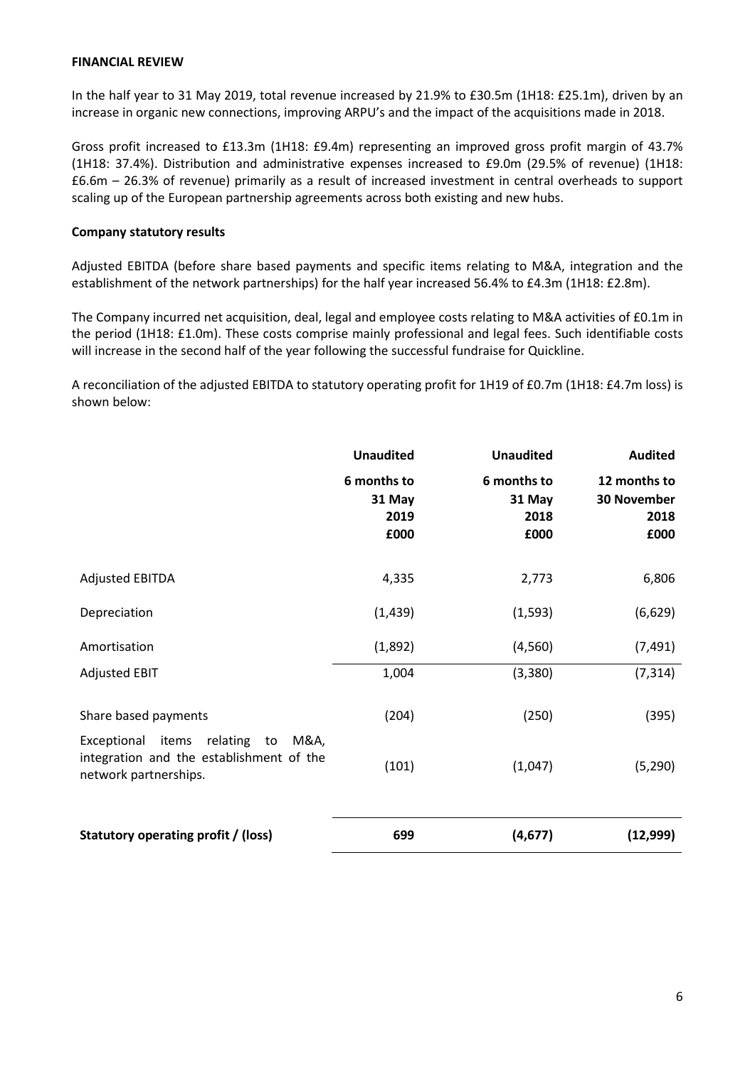## **FINANCIAL REVIEW**

In the half year to 31 May 2019, total revenue increased by 21.9% to £30.5m (1H18: £25.1m), driven by an increase in organic new connections, improving ARPU's and the impact of the acquisitions made in 2018.

Gross profit increased to £13.3m (1H18: £9.4m) representing an improved gross profit margin of 43.7% (1H18: 37.4%). Distribution and administrative expenses increased to £9.0m (29.5% of revenue) (1H18: £6.6m – 26.3% of revenue) primarily as a result of increased investment in central overheads to support scaling up of the European partnership agreements across both existing and new hubs.

#### **Company statutory results**

Adjusted EBITDA (before share based payments and specific items relating to M&A, integration and the establishment of the network partnerships) for the half year increased 56.4% to £4.3m (1H18: £2.8m).

The Company incurred net acquisition, deal, legal and employee costs relating to M&A activities of £0.1m in the period (1H18: £1.0m). These costs comprise mainly professional and legal fees. Such identifiable costs will increase in the second half of the year following the successful fundraise for Quickline.

A reconciliation of the adjusted EBITDA to statutory operating profit for 1H19 of £0.7m (1H18: £4.7m loss) is shown below:

|                                                                                                                  | <b>Unaudited</b>                      | <b>Unaudited</b>                      | <b>Audited</b>                                     |
|------------------------------------------------------------------------------------------------------------------|---------------------------------------|---------------------------------------|----------------------------------------------------|
|                                                                                                                  | 6 months to<br>31 May<br>2019<br>£000 | 6 months to<br>31 May<br>2018<br>£000 | 12 months to<br><b>30 November</b><br>2018<br>£000 |
| <b>Adjusted EBITDA</b>                                                                                           | 4,335                                 | 2,773                                 | 6,806                                              |
| Depreciation                                                                                                     | (1, 439)                              | (1, 593)                              | (6,629)                                            |
| Amortisation                                                                                                     | (1,892)                               | (4, 560)                              | (7, 491)                                           |
| <b>Adjusted EBIT</b>                                                                                             | 1,004                                 | (3,380)                               | (7, 314)                                           |
| Share based payments                                                                                             | (204)                                 | (250)                                 | (395)                                              |
| Exceptional items<br>relating<br>to<br>M&A,<br>integration and the establishment of the<br>network partnerships. | (101)                                 | (1,047)                               | (5, 290)                                           |
| Statutory operating profit / (loss)                                                                              | 699                                   | (4,677)                               | (12,999)                                           |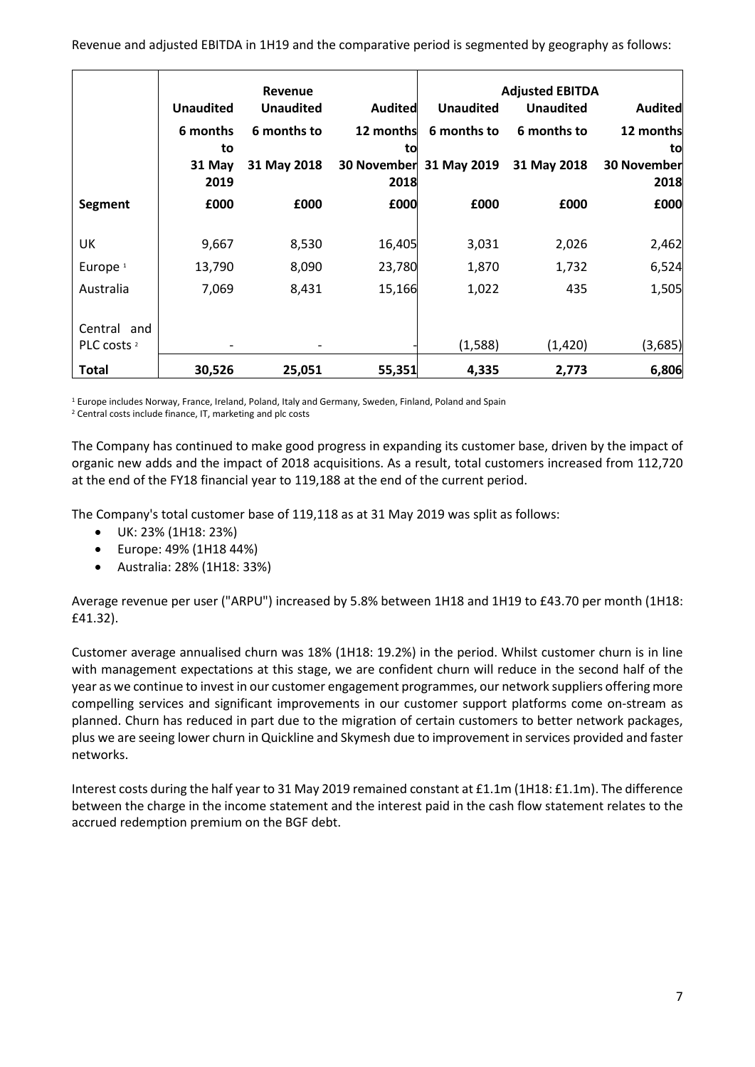|                        |                  | Revenue          |                    |                  | <b>Adjusted EBITDA</b> |                    |
|------------------------|------------------|------------------|--------------------|------------------|------------------------|--------------------|
|                        | <b>Unaudited</b> | <b>Unaudited</b> | <b>Audited</b>     | <b>Unaudited</b> | <b>Unaudited</b>       | <b>Audited</b>     |
|                        | 6 months         | 6 months to      | 12 months          | 6 months to      | 6 months to            | 12 months          |
|                        | to               |                  | to                 |                  |                        | to                 |
|                        | 31 May           | 31 May 2018      | <b>30 November</b> | 31 May 2019      | 31 May 2018            | <b>30 November</b> |
|                        | 2019             |                  | 2018               |                  |                        | 2018               |
| Segment                | £000             | £000             | £000               | £000             | £000                   | £000               |
|                        |                  |                  |                    |                  |                        |                    |
| UK                     | 9,667            | 8,530            | 16,405             | 3,031            | 2,026                  | 2,462              |
| Europe <sup>1</sup>    | 13,790           | 8,090            | 23,780             | 1,870            | 1,732                  | 6,524              |
| Australia              | 7,069            | 8,431            | 15,166             | 1,022            | 435                    | 1,505              |
|                        |                  |                  |                    |                  |                        |                    |
| Central and            |                  |                  |                    |                  |                        |                    |
| PLC costs <sup>2</sup> |                  |                  |                    | (1,588)          | (1, 420)               | (3,685)            |
| <b>Total</b>           | 30,526           | 25,051           | 55,351             | 4,335            | 2,773                  | 6,806              |

<sup>1</sup> Europe includes Norway, France, Ireland, Poland, Italy and Germany, Sweden, Finland, Poland and Spain

<sup>2</sup> Central costs include finance, IT, marketing and plc costs

The Company has continued to make good progress in expanding its customer base, driven by the impact of organic new adds and the impact of 2018 acquisitions. As a result, total customers increased from 112,720 at the end of the FY18 financial year to 119,188 at the end of the current period.

The Company's total customer base of 119,118 as at 31 May 2019 was split as follows:

- UK: 23% (1H18: 23%)
- Europe: 49% (1H18 44%)
- Australia: 28% (1H18: 33%)

Average revenue per user ("ARPU") increased by 5.8% between 1H18 and 1H19 to £43.70 per month (1H18: £41.32).

Customer average annualised churn was 18% (1H18: 19.2%) in the period. Whilst customer churn is in line with management expectations at this stage, we are confident churn will reduce in the second half of the year as we continue to invest in our customer engagement programmes, our network suppliers offering more compelling services and significant improvements in our customer support platforms come on-stream as planned. Churn has reduced in part due to the migration of certain customers to better network packages, plus we are seeing lower churn in Quickline and Skymesh due to improvement in services provided and faster networks.

Interest costs during the half year to 31 May 2019 remained constant at £1.1m (1H18: £1.1m). The difference between the charge in the income statement and the interest paid in the cash flow statement relates to the accrued redemption premium on the BGF debt.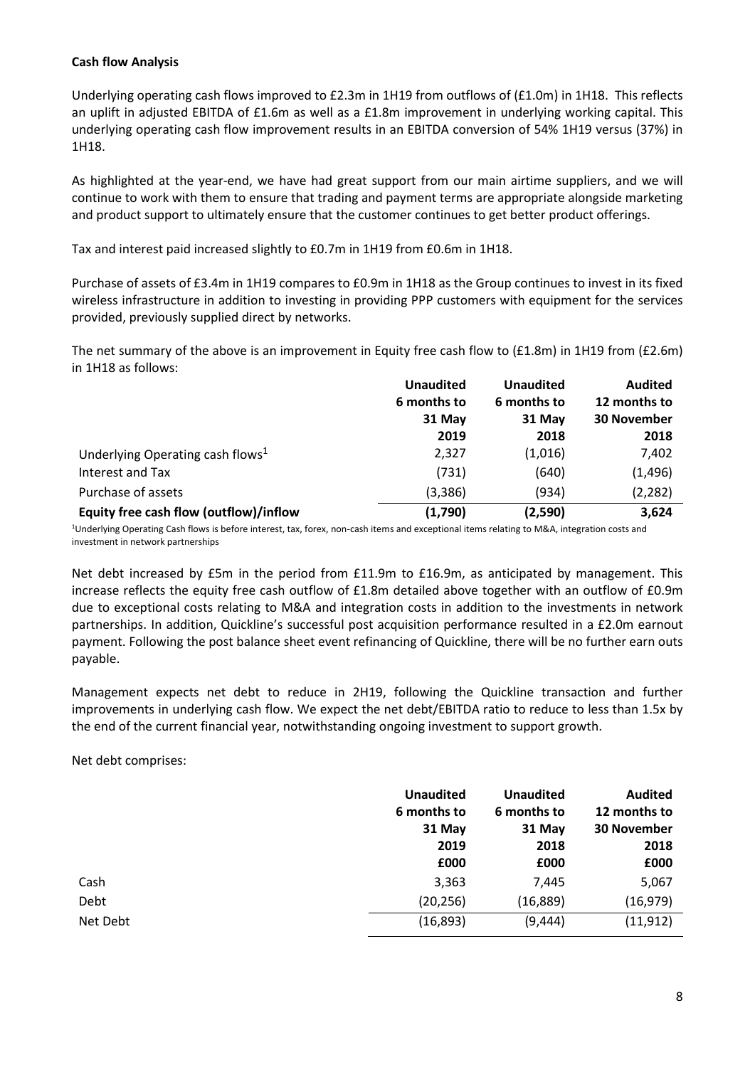## **Cash flow Analysis**

Underlying operating cash flows improved to £2.3m in 1H19 from outflows of (£1.0m) in 1H18. This reflects an uplift in adjusted EBITDA of £1.6m as well as a £1.8m improvement in underlying working capital. This underlying operating cash flow improvement results in an EBITDA conversion of 54% 1H19 versus (37%) in 1H18.

As highlighted at the year-end, we have had great support from our main airtime suppliers, and we will continue to work with them to ensure that trading and payment terms are appropriate alongside marketing and product support to ultimately ensure that the customer continues to get better product offerings.

Tax and interest paid increased slightly to £0.7m in 1H19 from £0.6m in 1H18.

Purchase of assets of £3.4m in 1H19 compares to £0.9m in 1H18 as the Group continues to invest in its fixed wireless infrastructure in addition to investing in providing PPP customers with equipment for the services provided, previously supplied direct by networks.

The net summary of the above is an improvement in Equity free cash flow to (£1.8m) in 1H19 from (£2.6m) in 1H18 as follows:

|                                              | <b>Unaudited</b> | <b>Unaudited</b> | <b>Audited</b>     |  |
|----------------------------------------------|------------------|------------------|--------------------|--|
|                                              | 6 months to      | 6 months to      | 12 months to       |  |
|                                              | 31 May           | 31 May           | <b>30 November</b> |  |
|                                              | 2019             | 2018             | 2018               |  |
| Underlying Operating cash flows <sup>1</sup> | 2,327            | (1,016)          | 7,402              |  |
| Interest and Tax                             | (731)            | (640)            | (1, 496)           |  |
| Purchase of assets                           | (3,386)          | (934)            | (2, 282)           |  |
| Equity free cash flow (outflow)/inflow       | (1,790)          | (2,590)          | 3,624              |  |

<sup>1</sup>Underlying Operating Cash flows is before interest, tax, forex, non-cash items and exceptional items relating to M&A, integration costs and investment in network partnerships

Net debt increased by £5m in the period from £11.9m to £16.9m, as anticipated by management. This increase reflects the equity free cash outflow of £1.8m detailed above together with an outflow of £0.9m due to exceptional costs relating to M&A and integration costs in addition to the investments in network partnerships. In addition, Quickline's successful post acquisition performance resulted in a £2.0m earnout payment. Following the post balance sheet event refinancing of Quickline, there will be no further earn outs payable.

Management expects net debt to reduce in 2H19, following the Quickline transaction and further improvements in underlying cash flow. We expect the net debt/EBITDA ratio to reduce to less than 1.5x by the end of the current financial year, notwithstanding ongoing investment to support growth.

Net debt comprises:

|          | <b>Unaudited</b><br>6 months to<br>31 May<br>2019<br>£000 | <b>Unaudited</b><br>6 months to<br>31 May<br>2018<br>£000 | <b>Audited</b><br>12 months to<br><b>30 November</b><br>2018<br>£000 |
|----------|-----------------------------------------------------------|-----------------------------------------------------------|----------------------------------------------------------------------|
| Cash     | 3,363                                                     | 7,445                                                     | 5,067                                                                |
| Debt     | (20, 256)                                                 | (16, 889)                                                 | (16, 979)                                                            |
| Net Debt | (16, 893)                                                 | (9, 444)                                                  | (11, 912)                                                            |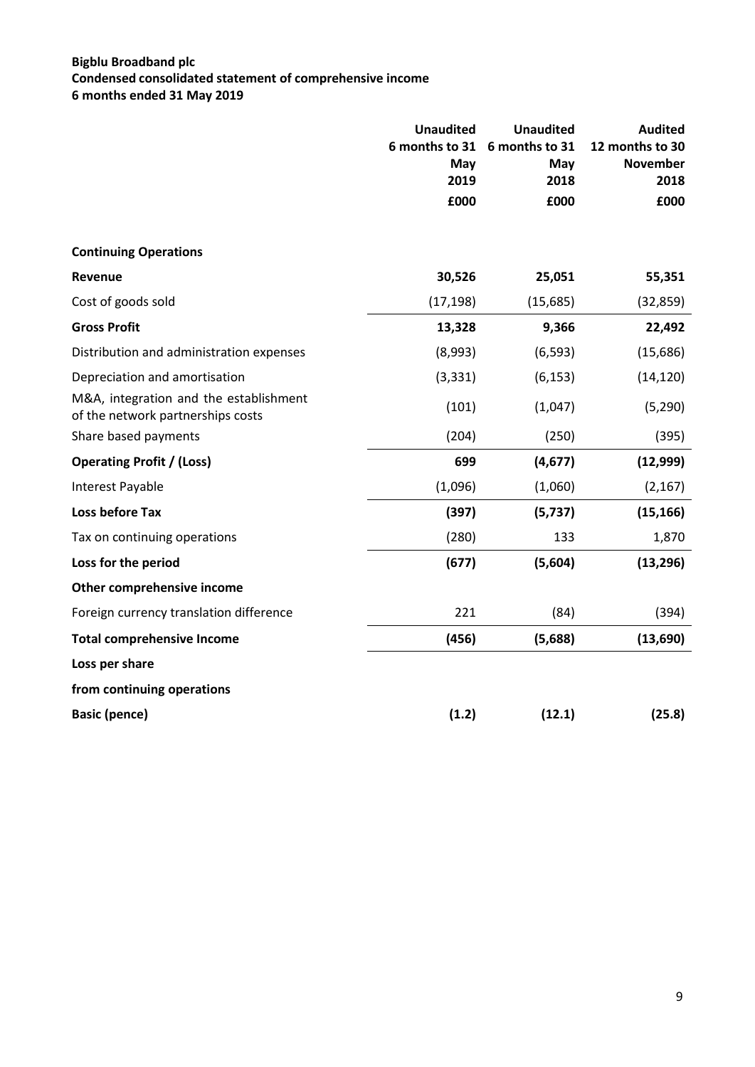# **Bigblu Broadband plc Condensed consolidated statement of comprehensive income 6 months ended 31 May 2019**

|                                                                             | <b>Unaudited</b><br>6 months to 31<br>May | <b>Unaudited</b><br>6 months to 31<br>May | <b>Audited</b><br>12 months to 30<br><b>November</b> |
|-----------------------------------------------------------------------------|-------------------------------------------|-------------------------------------------|------------------------------------------------------|
|                                                                             | 2019                                      | 2018                                      | 2018                                                 |
|                                                                             | £000                                      | £000                                      | £000                                                 |
| <b>Continuing Operations</b>                                                |                                           |                                           |                                                      |
| <b>Revenue</b>                                                              | 30,526                                    | 25,051                                    | 55,351                                               |
| Cost of goods sold                                                          | (17, 198)                                 | (15,685)                                  | (32, 859)                                            |
| <b>Gross Profit</b>                                                         | 13,328                                    | 9,366                                     | 22,492                                               |
| Distribution and administration expenses                                    | (8,993)                                   | (6, 593)                                  | (15, 686)                                            |
| Depreciation and amortisation                                               | (3, 331)                                  | (6, 153)                                  | (14, 120)                                            |
| M&A, integration and the establishment<br>of the network partnerships costs | (101)                                     | (1,047)                                   | (5, 290)                                             |
| Share based payments                                                        | (204)                                     | (250)                                     | (395)                                                |
| <b>Operating Profit / (Loss)</b>                                            | 699                                       | (4,677)                                   | (12,999)                                             |
| Interest Payable                                                            | (1,096)                                   | (1,060)                                   | (2, 167)                                             |
| Loss before Tax                                                             | (397)                                     | (5, 737)                                  | (15, 166)                                            |
| Tax on continuing operations                                                | (280)                                     | 133                                       | 1,870                                                |
| Loss for the period                                                         | (677)                                     | (5,604)                                   | (13, 296)                                            |
| Other comprehensive income                                                  |                                           |                                           |                                                      |
| Foreign currency translation difference                                     | 221                                       | (84)                                      | (394)                                                |
| <b>Total comprehensive Income</b>                                           | (456)                                     | (5,688)                                   | (13,690)                                             |
| Loss per share                                                              |                                           |                                           |                                                      |
| from continuing operations                                                  |                                           |                                           |                                                      |
| <b>Basic (pence)</b>                                                        | (1.2)                                     | (12.1)                                    | (25.8)                                               |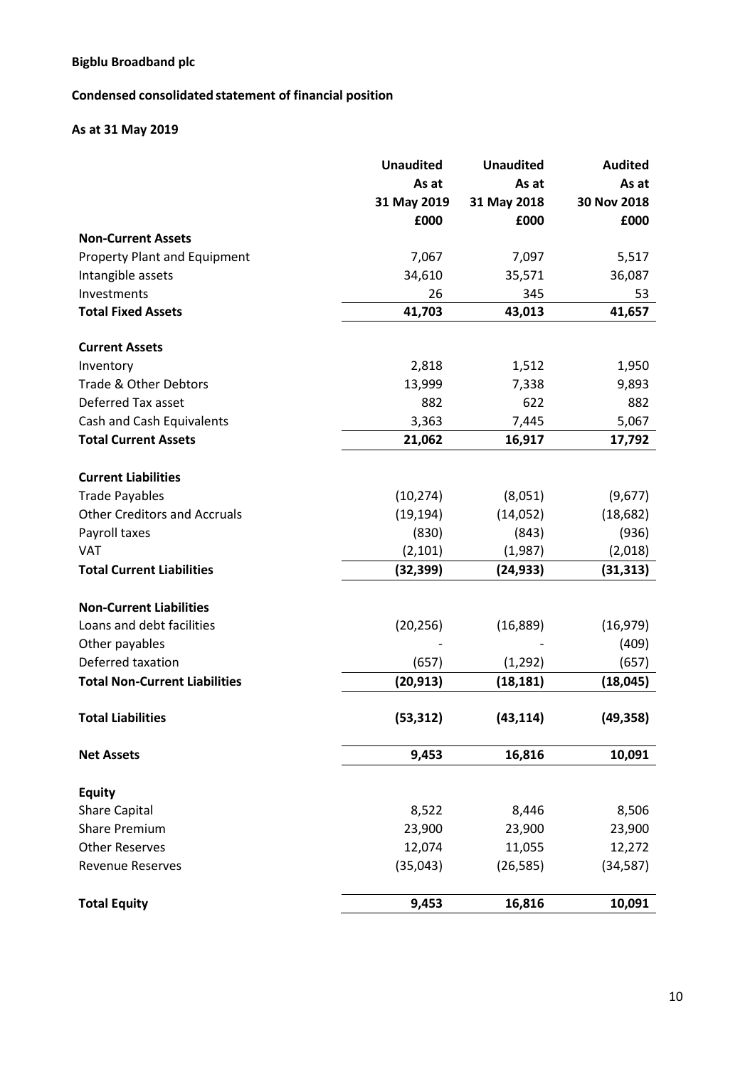# **Condensed consolidated statement of financial position**

# **As at 31 May 2019**

| As at<br>As at<br>31 May 2019<br>31 May 2018<br>£000<br>£000<br><b>Non-Current Assets</b><br><b>Property Plant and Equipment</b><br>7,067<br>7,097<br>34,610<br>Intangible assets<br>35,571<br>Investments<br>26<br>345<br><b>Total Fixed Assets</b><br>41,703<br>43,013<br><b>Current Assets</b><br>Inventory<br>2,818<br>1,512<br>1,950<br>Trade & Other Debtors<br>13,999<br>7,338<br>9,893<br>Deferred Tax asset<br>882<br>622<br>882<br>Cash and Cash Equivalents<br>3,363<br>7,445<br>5,067<br><b>Total Current Assets</b><br>21,062<br>16,917<br>17,792<br><b>Current Liabilities</b><br>(8,051)<br><b>Trade Payables</b><br>(10, 274)<br><b>Other Creditors and Accruals</b><br>(19, 194)<br>(14, 052)<br>Payroll taxes<br>(830)<br>(843)<br><b>VAT</b><br>(2, 101)<br>(1,987)<br><b>Total Current Liabilities</b><br>(32, 399)<br>(24, 933)<br><b>Non-Current Liabilities</b><br>Loans and debt facilities<br>(20, 256)<br>(16,889) | <b>Unaudited</b> | <b>Unaudited</b> | <b>Audited</b> |
|----------------------------------------------------------------------------------------------------------------------------------------------------------------------------------------------------------------------------------------------------------------------------------------------------------------------------------------------------------------------------------------------------------------------------------------------------------------------------------------------------------------------------------------------------------------------------------------------------------------------------------------------------------------------------------------------------------------------------------------------------------------------------------------------------------------------------------------------------------------------------------------------------------------------------------------------|------------------|------------------|----------------|
|                                                                                                                                                                                                                                                                                                                                                                                                                                                                                                                                                                                                                                                                                                                                                                                                                                                                                                                                              |                  |                  | As at          |
|                                                                                                                                                                                                                                                                                                                                                                                                                                                                                                                                                                                                                                                                                                                                                                                                                                                                                                                                              |                  |                  | 30 Nov 2018    |
|                                                                                                                                                                                                                                                                                                                                                                                                                                                                                                                                                                                                                                                                                                                                                                                                                                                                                                                                              |                  |                  | £000           |
|                                                                                                                                                                                                                                                                                                                                                                                                                                                                                                                                                                                                                                                                                                                                                                                                                                                                                                                                              |                  |                  |                |
|                                                                                                                                                                                                                                                                                                                                                                                                                                                                                                                                                                                                                                                                                                                                                                                                                                                                                                                                              |                  |                  | 5,517          |
|                                                                                                                                                                                                                                                                                                                                                                                                                                                                                                                                                                                                                                                                                                                                                                                                                                                                                                                                              |                  |                  | 36,087         |
|                                                                                                                                                                                                                                                                                                                                                                                                                                                                                                                                                                                                                                                                                                                                                                                                                                                                                                                                              |                  |                  | 53             |
|                                                                                                                                                                                                                                                                                                                                                                                                                                                                                                                                                                                                                                                                                                                                                                                                                                                                                                                                              |                  |                  | 41,657         |
|                                                                                                                                                                                                                                                                                                                                                                                                                                                                                                                                                                                                                                                                                                                                                                                                                                                                                                                                              |                  |                  |                |
|                                                                                                                                                                                                                                                                                                                                                                                                                                                                                                                                                                                                                                                                                                                                                                                                                                                                                                                                              |                  |                  |                |
|                                                                                                                                                                                                                                                                                                                                                                                                                                                                                                                                                                                                                                                                                                                                                                                                                                                                                                                                              |                  |                  |                |
|                                                                                                                                                                                                                                                                                                                                                                                                                                                                                                                                                                                                                                                                                                                                                                                                                                                                                                                                              |                  |                  |                |
|                                                                                                                                                                                                                                                                                                                                                                                                                                                                                                                                                                                                                                                                                                                                                                                                                                                                                                                                              |                  |                  |                |
|                                                                                                                                                                                                                                                                                                                                                                                                                                                                                                                                                                                                                                                                                                                                                                                                                                                                                                                                              |                  |                  |                |
|                                                                                                                                                                                                                                                                                                                                                                                                                                                                                                                                                                                                                                                                                                                                                                                                                                                                                                                                              |                  |                  |                |
|                                                                                                                                                                                                                                                                                                                                                                                                                                                                                                                                                                                                                                                                                                                                                                                                                                                                                                                                              |                  |                  |                |
|                                                                                                                                                                                                                                                                                                                                                                                                                                                                                                                                                                                                                                                                                                                                                                                                                                                                                                                                              |                  |                  | (9,677)        |
|                                                                                                                                                                                                                                                                                                                                                                                                                                                                                                                                                                                                                                                                                                                                                                                                                                                                                                                                              |                  |                  | (18, 682)      |
|                                                                                                                                                                                                                                                                                                                                                                                                                                                                                                                                                                                                                                                                                                                                                                                                                                                                                                                                              |                  |                  | (936)          |
|                                                                                                                                                                                                                                                                                                                                                                                                                                                                                                                                                                                                                                                                                                                                                                                                                                                                                                                                              |                  |                  | (2,018)        |
|                                                                                                                                                                                                                                                                                                                                                                                                                                                                                                                                                                                                                                                                                                                                                                                                                                                                                                                                              |                  |                  | (31, 313)      |
|                                                                                                                                                                                                                                                                                                                                                                                                                                                                                                                                                                                                                                                                                                                                                                                                                                                                                                                                              |                  |                  |                |
|                                                                                                                                                                                                                                                                                                                                                                                                                                                                                                                                                                                                                                                                                                                                                                                                                                                                                                                                              |                  |                  |                |
|                                                                                                                                                                                                                                                                                                                                                                                                                                                                                                                                                                                                                                                                                                                                                                                                                                                                                                                                              |                  |                  | (16, 979)      |
| Other payables                                                                                                                                                                                                                                                                                                                                                                                                                                                                                                                                                                                                                                                                                                                                                                                                                                                                                                                               |                  |                  | (409)          |
| Deferred taxation<br>(657)<br>(1, 292)                                                                                                                                                                                                                                                                                                                                                                                                                                                                                                                                                                                                                                                                                                                                                                                                                                                                                                       |                  |                  | (657)          |
| <b>Total Non-Current Liabilities</b><br>(20, 913)<br>(18, 181)                                                                                                                                                                                                                                                                                                                                                                                                                                                                                                                                                                                                                                                                                                                                                                                                                                                                               |                  |                  | (18, 045)      |
| <b>Total Liabilities</b><br>(53, 312)<br>(43, 114)                                                                                                                                                                                                                                                                                                                                                                                                                                                                                                                                                                                                                                                                                                                                                                                                                                                                                           |                  |                  | (49, 358)      |
| 16,816<br>9,453<br><b>Net Assets</b>                                                                                                                                                                                                                                                                                                                                                                                                                                                                                                                                                                                                                                                                                                                                                                                                                                                                                                         |                  |                  | 10,091         |
|                                                                                                                                                                                                                                                                                                                                                                                                                                                                                                                                                                                                                                                                                                                                                                                                                                                                                                                                              |                  |                  |                |
| <b>Equity</b>                                                                                                                                                                                                                                                                                                                                                                                                                                                                                                                                                                                                                                                                                                                                                                                                                                                                                                                                |                  |                  |                |
| <b>Share Capital</b><br>8,522<br>8,446                                                                                                                                                                                                                                                                                                                                                                                                                                                                                                                                                                                                                                                                                                                                                                                                                                                                                                       |                  |                  | 8,506          |
| <b>Share Premium</b><br>23,900<br>23,900                                                                                                                                                                                                                                                                                                                                                                                                                                                                                                                                                                                                                                                                                                                                                                                                                                                                                                     |                  |                  | 23,900         |
| 12,074<br>11,055<br><b>Other Reserves</b>                                                                                                                                                                                                                                                                                                                                                                                                                                                                                                                                                                                                                                                                                                                                                                                                                                                                                                    |                  |                  | 12,272         |
| <b>Revenue Reserves</b><br>(35,043)<br>(26, 585)                                                                                                                                                                                                                                                                                                                                                                                                                                                                                                                                                                                                                                                                                                                                                                                                                                                                                             |                  |                  | (34, 587)      |
| <b>Total Equity</b><br>16,816<br>9,453                                                                                                                                                                                                                                                                                                                                                                                                                                                                                                                                                                                                                                                                                                                                                                                                                                                                                                       |                  |                  | 10,091         |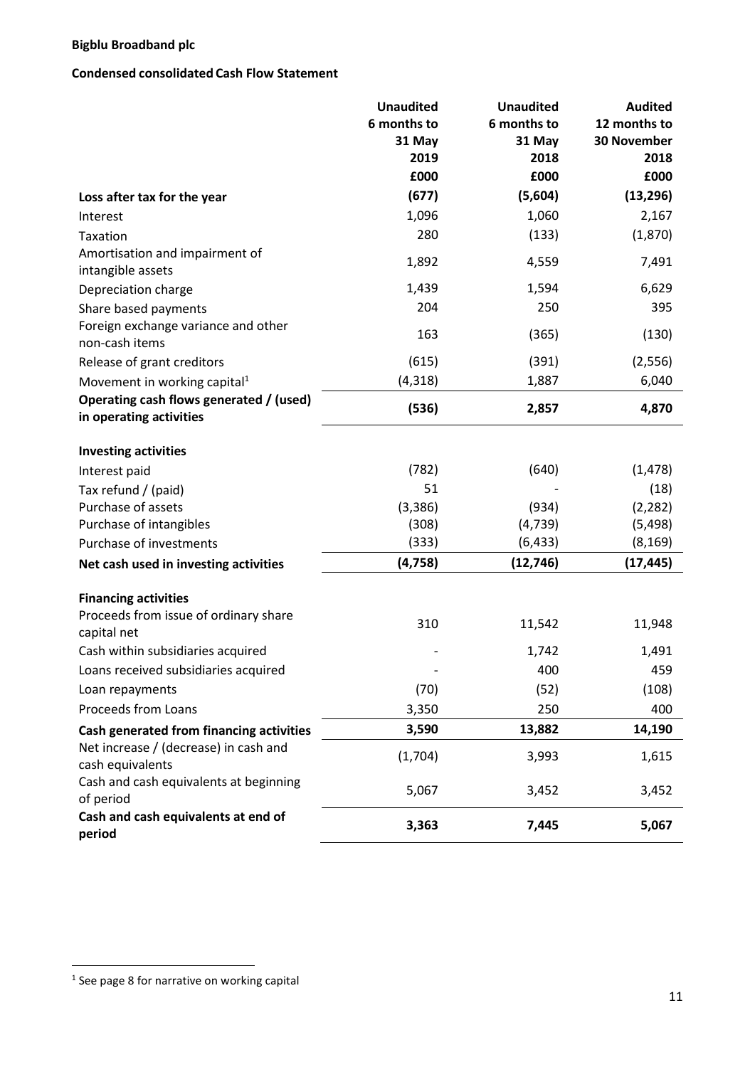# **Condensed consolidated Cash Flow Statement**

|                                                                    | <b>Unaudited</b><br>6 months to | <b>Unaudited</b><br>6 months to | <b>Audited</b><br>12 months to |
|--------------------------------------------------------------------|---------------------------------|---------------------------------|--------------------------------|
|                                                                    | 31 May                          | 31 May                          | 30 November                    |
|                                                                    | 2019<br>£000                    | 2018<br>£000                    | 2018<br>£000                   |
| Loss after tax for the year                                        | (677)                           | (5,604)                         | (13, 296)                      |
| Interest                                                           | 1,096                           | 1,060                           | 2,167                          |
| Taxation                                                           | 280                             | (133)                           | (1,870)                        |
| Amortisation and impairment of<br>intangible assets                | 1,892                           | 4,559                           | 7,491                          |
| Depreciation charge                                                | 1,439                           | 1,594                           | 6,629                          |
| Share based payments                                               | 204                             | 250                             | 395                            |
| Foreign exchange variance and other<br>non-cash items              | 163                             | (365)                           | (130)                          |
| Release of grant creditors                                         | (615)                           | (391)                           | (2, 556)                       |
| Movement in working capital <sup>1</sup>                           | (4, 318)                        | 1,887                           | 6,040                          |
| Operating cash flows generated / (used)<br>in operating activities | (536)                           | 2,857                           | 4,870                          |
| <b>Investing activities</b>                                        |                                 |                                 |                                |
| Interest paid                                                      | (782)                           | (640)                           | (1, 478)                       |
| Tax refund / (paid)                                                | 51                              |                                 | (18)                           |
| Purchase of assets                                                 | (3, 386)                        | (934)                           | (2, 282)                       |
| Purchase of intangibles                                            | (308)                           | (4, 739)                        | (5, 498)                       |
| Purchase of investments                                            | (333)                           | (6, 433)                        | (8, 169)                       |
| Net cash used in investing activities                              | (4, 758)                        | (12, 746)                       | (17, 445)                      |
| <b>Financing activities</b>                                        |                                 |                                 |                                |
| Proceeds from issue of ordinary share<br>capital net               | 310                             | 11,542                          | 11,948                         |
| Cash within subsidiaries acquired                                  |                                 | 1,742                           | 1,491                          |
| Loans received subsidiaries acquired                               |                                 | 400                             | 459                            |
| Loan repayments                                                    | (70)                            | (52)                            | (108)                          |
| Proceeds from Loans                                                | 3,350                           | 250                             | 400                            |
| Cash generated from financing activities                           | 3,590                           | 13,882                          | 14,190                         |
| Net increase / (decrease) in cash and<br>cash equivalents          | (1,704)                         | 3,993                           | 1,615                          |
| Cash and cash equivalents at beginning<br>of period                | 5,067                           | 3,452                           | 3,452                          |
| Cash and cash equivalents at end of<br>period                      | 3,363                           | 7,445                           | 5,067                          |

 1 See page 8 for narrative on working capital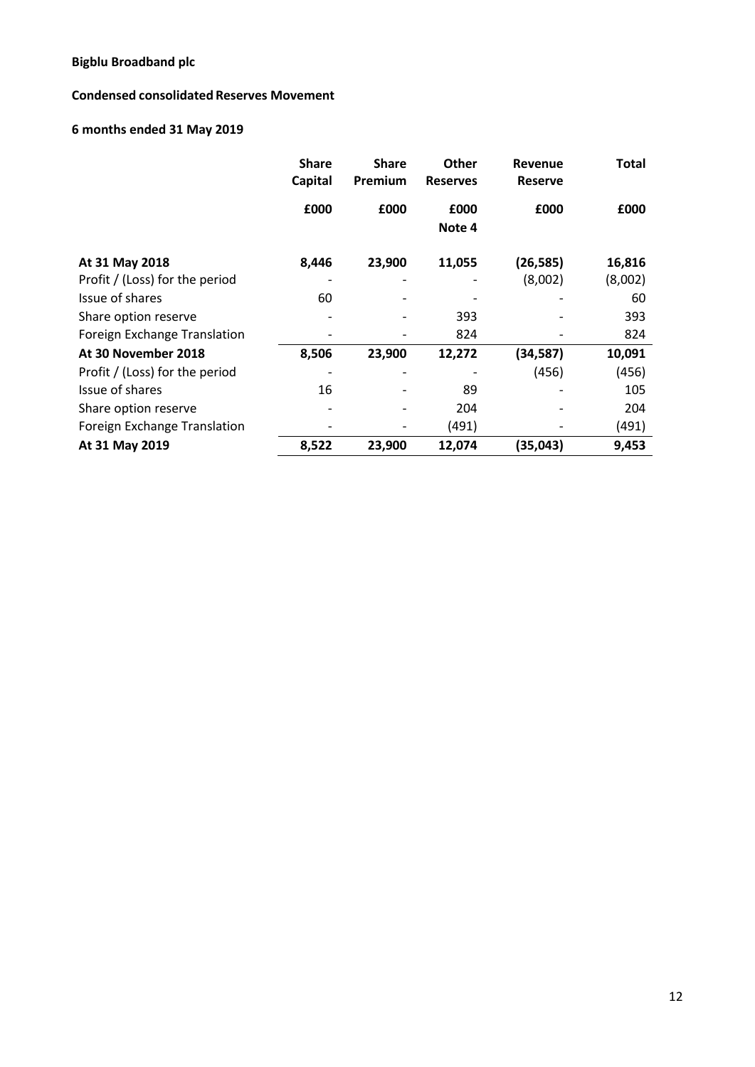# **Condensed consolidated Reserves Movement**

# **6 months ended 31 May 2019**

|                                | <b>Share</b><br>Capital | <b>Share</b><br>Premium | <b>Other</b><br><b>Reserves</b> | <b>Revenue</b><br><b>Reserve</b> | <b>Total</b> |
|--------------------------------|-------------------------|-------------------------|---------------------------------|----------------------------------|--------------|
|                                | £000                    | £000                    | £000<br>Note 4                  | £000                             | £000         |
|                                |                         |                         |                                 |                                  |              |
| At 31 May 2018                 | 8,446                   | 23,900                  | 11,055                          | (26, 585)                        | 16,816       |
| Profit / (Loss) for the period |                         |                         |                                 | (8,002)                          | (8,002)      |
| Issue of shares                | 60                      |                         |                                 |                                  | 60           |
| Share option reserve           |                         |                         | 393                             |                                  | 393          |
| Foreign Exchange Translation   |                         |                         | 824                             |                                  | 824          |
| At 30 November 2018            | 8,506                   | 23,900                  | 12,272                          | (34, 587)                        | 10,091       |
| Profit / (Loss) for the period |                         |                         |                                 | (456)                            | (456)        |
| Issue of shares                | 16                      |                         | 89                              |                                  | 105          |
| Share option reserve           |                         |                         | 204                             |                                  | 204          |
| Foreign Exchange Translation   |                         |                         | (491)                           |                                  | (491)        |
| At 31 May 2019                 | 8,522                   | 23,900                  | 12,074                          | (35,043)                         | 9,453        |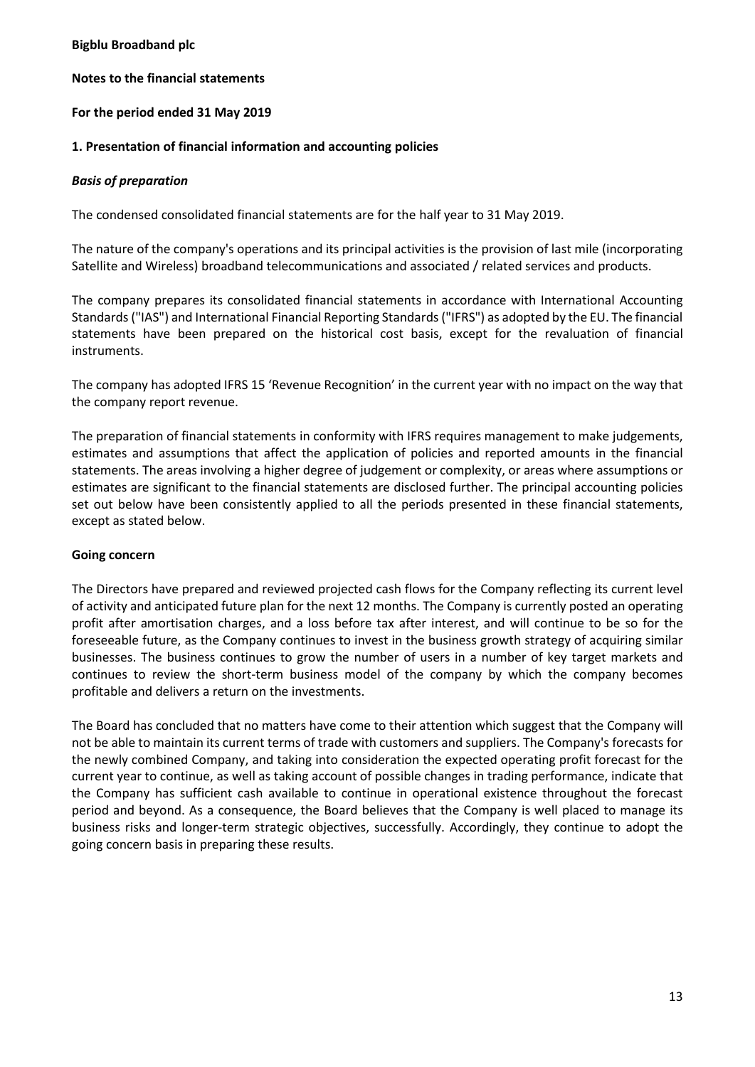## **Notes to the financial statements**

# **For the period ended 31 May 2019**

# **1. Presentation of financial information and accounting policies**

## *Basis of preparation*

The condensed consolidated financial statements are for the half year to 31 May 2019.

The nature of the company's operations and its principal activities is the provision of last mile (incorporating Satellite and Wireless) broadband telecommunications and associated / related services and products.

The company prepares its consolidated financial statements in accordance with International Accounting Standards("IAS") and International Financial Reporting Standards("IFRS") as adopted by the EU. The financial statements have been prepared on the historical cost basis, except for the revaluation of financial instruments.

The company has adopted IFRS 15 'Revenue Recognition' in the current year with no impact on the way that the company report revenue.

The preparation of financial statements in conformity with IFRS requires management to make judgements, estimates and assumptions that affect the application of policies and reported amounts in the financial statements. The areas involving a higher degree of judgement or complexity, or areas where assumptions or estimates are significant to the financial statements are disclosed further. The principal accounting policies set out below have been consistently applied to all the periods presented in these financial statements, except as stated below.

## **Going concern**

The Directors have prepared and reviewed projected cash flows for the Company reflecting its current level of activity and anticipated future plan for the next 12 months. The Company is currently posted an operating profit after amortisation charges, and a loss before tax after interest, and will continue to be so for the foreseeable future, as the Company continues to invest in the business growth strategy of acquiring similar businesses. The business continues to grow the number of users in a number of key target markets and continues to review the short-term business model of the company by which the company becomes profitable and delivers a return on the investments.

The Board has concluded that no matters have come to their attention which suggest that the Company will not be able to maintain its current terms of trade with customers and suppliers. The Company's forecasts for the newly combined Company, and taking into consideration the expected operating profit forecast for the current year to continue, as well as taking account of possible changes in trading performance, indicate that the Company has sufficient cash available to continue in operational existence throughout the forecast period and beyond. As a consequence, the Board believes that the Company is well placed to manage its business risks and longer-term strategic objectives, successfully. Accordingly, they continue to adopt the going concern basis in preparing these results.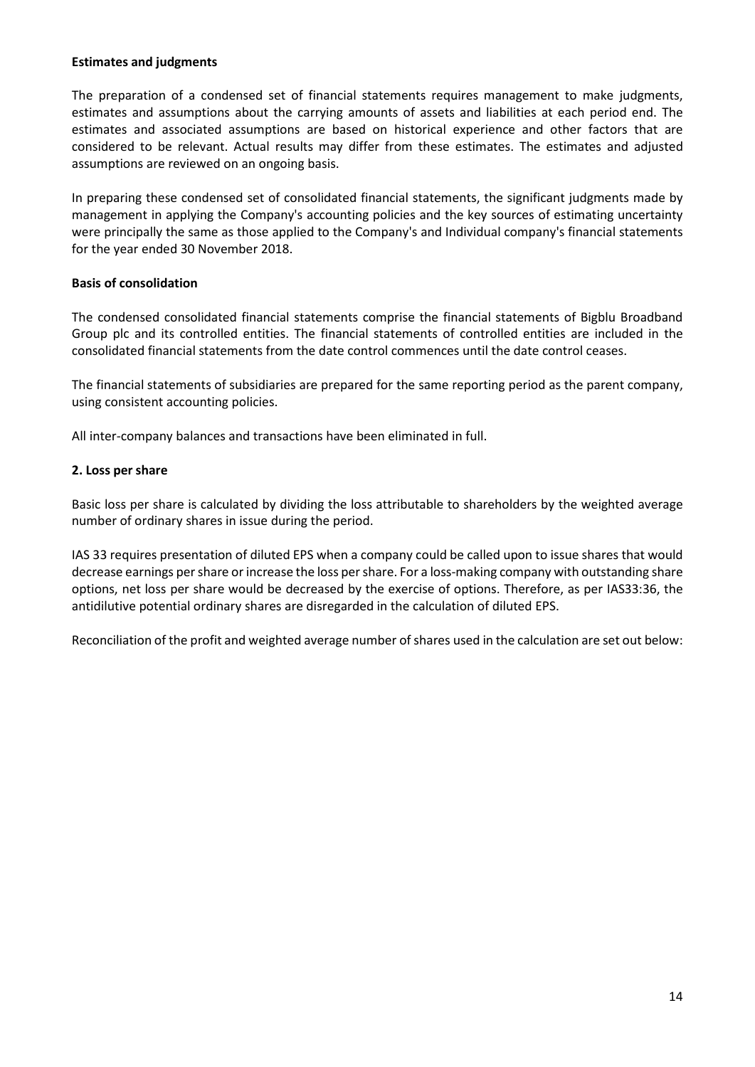## **Estimates and judgments**

The preparation of a condensed set of financial statements requires management to make judgments, estimates and assumptions about the carrying amounts of assets and liabilities at each period end. The estimates and associated assumptions are based on historical experience and other factors that are considered to be relevant. Actual results may differ from these estimates. The estimates and adjusted assumptions are reviewed on an ongoing basis.

In preparing these condensed set of consolidated financial statements, the significant judgments made by management in applying the Company's accounting policies and the key sources of estimating uncertainty were principally the same as those applied to the Company's and Individual company's financial statements for the year ended 30 November 2018.

# **Basis of consolidation**

The condensed consolidated financial statements comprise the financial statements of Bigblu Broadband Group plc and its controlled entities. The financial statements of controlled entities are included in the consolidated financial statements from the date control commences until the date control ceases.

The financial statements of subsidiaries are prepared for the same reporting period as the parent company, using consistent accounting policies.

All inter-company balances and transactions have been eliminated in full.

# **2. Loss per share**

Basic loss per share is calculated by dividing the loss attributable to shareholders by the weighted average number of ordinary shares in issue during the period.

IAS 33 requires presentation of diluted EPS when a company could be called upon to issue shares that would decrease earnings pershare orincrease the loss pershare. For a loss-making company with outstanding share options, net loss per share would be decreased by the exercise of options. Therefore, as per IAS33:36, the antidilutive potential ordinary shares are disregarded in the calculation of diluted EPS.

Reconciliation of the profit and weighted average number of shares used in the calculation are set out below: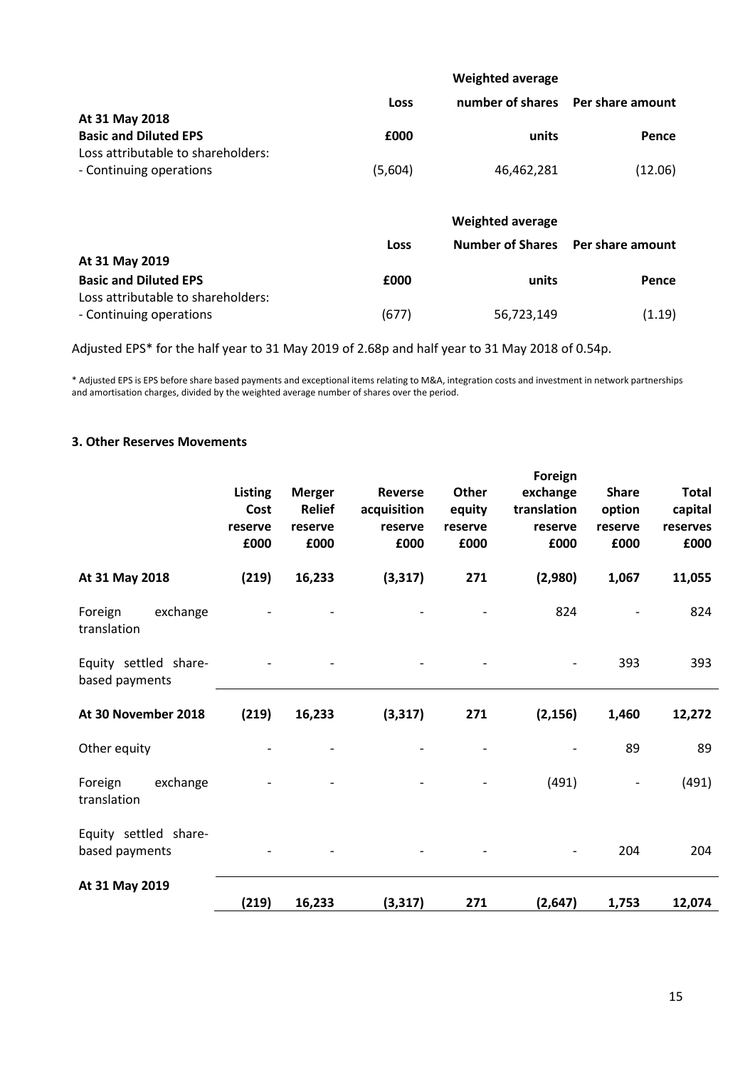|                                    |             | <b>Weighted average</b> |                  |
|------------------------------------|-------------|-------------------------|------------------|
|                                    | <b>Loss</b> | number of shares        | Per share amount |
| At 31 May 2018                     |             |                         |                  |
| <b>Basic and Diluted EPS</b>       | £000        | units                   | Pence            |
| Loss attributable to shareholders: |             |                         |                  |
| - Continuing operations            | (5,604)     | 46,462,281              | (12.06)          |
|                                    |             |                         |                  |
|                                    |             | <b>Weighted average</b> |                  |
|                                    | Loss        | <b>Number of Shares</b> | Per share amount |
| At 31 May 2019                     |             |                         |                  |
| <b>Basic and Diluted EPS</b>       | £000        | units                   | Pence            |
| Loss attributable to shareholders: |             |                         |                  |
| - Continuing operations            | (677)       | 56,723,149              | (1.19)           |
|                                    |             |                         |                  |

Adjusted EPS\* for the half year to 31 May 2019 of 2.68p and half year to 31 May 2018 of 0.54p.

\* Adjusted EPS is EPS before share based payments and exceptional items relating to M&A, integration costs and investment in network partnerships and amortisation charges, divided by the weighted average number of shares over the period.

# **3. Other Reserves Movements**

|                                         | <b>Listing</b><br>Cost<br>reserve<br>£000 | <b>Merger</b><br><b>Relief</b><br>reserve<br>£000 | <b>Reverse</b><br>acquisition<br>reserve<br>£000 | Other<br>equity<br>reserve<br>£000 | Foreign<br>exchange<br>translation<br>reserve<br>£000 | <b>Share</b><br>option<br>reserve<br>£000 | <b>Total</b><br>capital<br>reserves<br>£000 |
|-----------------------------------------|-------------------------------------------|---------------------------------------------------|--------------------------------------------------|------------------------------------|-------------------------------------------------------|-------------------------------------------|---------------------------------------------|
| At 31 May 2018                          | (219)                                     | 16,233                                            | (3, 317)                                         | 271                                | (2,980)                                               | 1,067                                     | 11,055                                      |
| exchange<br>Foreign<br>translation      |                                           |                                                   |                                                  |                                    | 824                                                   |                                           | 824                                         |
| Equity settled share-<br>based payments |                                           |                                                   |                                                  |                                    |                                                       | 393                                       | 393                                         |
| At 30 November 2018                     | (219)                                     | 16,233                                            | (3, 317)                                         | 271                                | (2, 156)                                              | 1,460                                     | 12,272                                      |
| Other equity                            |                                           |                                                   |                                                  |                                    |                                                       | 89                                        | 89                                          |
| exchange<br>Foreign<br>translation      |                                           |                                                   |                                                  |                                    | (491)                                                 |                                           | (491)                                       |
| Equity settled share-<br>based payments |                                           |                                                   |                                                  |                                    |                                                       | 204                                       | 204                                         |
| At 31 May 2019                          | (219)                                     | 16,233                                            | (3, 317)                                         | 271                                | (2,647)                                               | 1,753                                     | 12,074                                      |